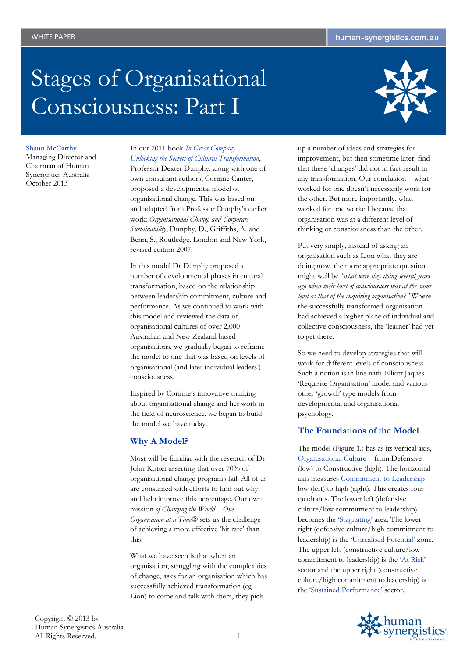# Stages of Organisational Consciousness: Part I



Shaun McCarthy Managing Director and Chairman of Human Synergistics Australia October 2013

## In our 2011 book *In Great Company – Unlocking the Secrets of Cultural Transformation*,

Professor Dexter Dunphy, along with one of own consultant authors, Corinne Canter, proposed a developmental model of organisational change. This was based on and adapted from Professor Dunphy's earlier work: *Organisational Change and Corporate Sustainability*, Dunphy, D., Griffiths, A. and Benn, S., Routledge, London and New York, revised edition 2007.

In this model Dr Dunphy proposed a number of developmental phases in cultural transformation, based on the relationship between leadership commitment, culture and performance. As we continued to work with this model and reviewed the data of organisational cultures of over 2,000 Australian and New Zealand based organisations, we gradually began to reframe the model to one that was based on levels of organisational (and later individual leaders') consciousness.

Inspired by Corinne's innovative thinking about organisational change and her work in the field of neuroscience, we began to build the model we have today.

# **Why A Model?**

Most will be familiar with the research of Dr John Kotter asserting that over 70% of organisational change programs fail. All of us are consumed with efforts to find out why and help improve this percentage. Our own mission *of Changing the World—One Organisation at a Time®* sets us the challenge of achieving a more effective 'hit rate' than this.

What we have seen is that when an organisation, struggling with the complexities of change, asks for an organisation which has successfully achieved transformation (eg Lion) to come and talk with them, they pick

up a number of ideas and strategies for improvement, but then sometime later, find that these 'changes' did not in fact result in any transformation. Our conclusion – what worked for one doesn't necessarily work for the other. But more importantly, what worked for one worked because that organisation was at a different level of thinking or consciousness than the other.

Put very simply, instead of asking an organisation such as Lion what they are doing now, the more appropriate question might well be *"what were they doing several years ago when their level of consciousness was at the same level as that of the enquiring organisation?"* Where the successfully transformed organisation had achieved a higher plane of individual and collective consciousness, the 'learner' had yet to get there.

So we need to develop strategies that will work for different levels of consciousness. Such a notion is in line with Elliott Jaques 'Requisite Organisation' model and various other 'growth' type models from developmental and organisational psychology.

# **The Foundations of the Model**

The model (Figure 1.) has as its vertical axis, Organisational Culture – from Defensive (low) to Constructive (high). The horizontal axis measures Commitment to Leadership – low (left) to high (right). This creates four quadrants. The lower left (defensive culture/low commitment to leadership) becomes the 'Stagnating' area. The lower right (defensive culture/high commitment to leadership) is the 'Unrealised Potential' zone. The upper left (constructive culture/low commitment to leadership) is the 'At Risk' sector and the upper right (constructive culture/high commitment to leadership) is the 'Sustained Performance' sector.

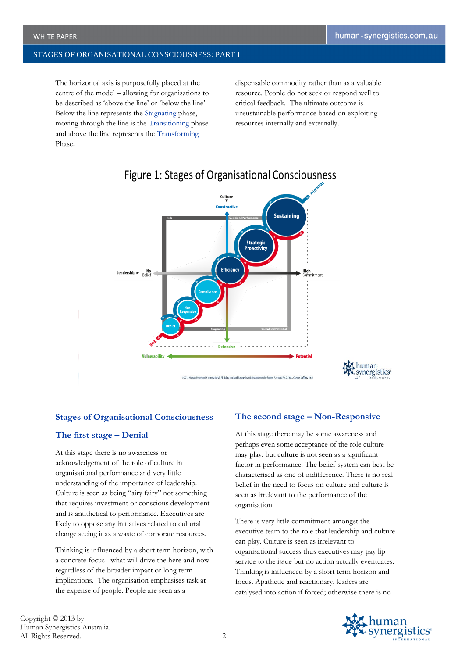The horizontal axis is purposefully placed at the centre of the model – allowing for organisations to be described as 'above the line' or 'below the line'. Below the line represents the Stagnating phase, moving through the line is the Transitioning phase and above the line represents the Transforming Phase.

dispensable commodity rather than as a valuable resource. People do not seek or respond well to critical feedback. The ultimate outcome is unsustainable performance based on exploiting resources internally and externally.



# Figure 1: Stages of Organisational Consciousness

#### **Stages of Organisational Consciousness**

#### **The first stage – Denial**

At this stage there is no awareness or acknowledgement of the role of culture in organisational performance and very little understanding of the importance of leadership. Culture is seen as being "airy fairy" not something that requires investment or conscious development and is antithetical to performance. Executives are likely to oppose any initiatives related to cultural change seeing it as a waste of corporate resources.

Thinking is influenced by a short term horizon, with a concrete focus –what will drive the here and now regardless of the broader impact or long term implications. The organisation emphasises task at the expense of people. People are seen as a

## **The second stage – Non-Responsive**

At this stage there may be some awareness and perhaps even some acceptance of the role culture may play, but culture is not seen as a significant factor in performance. The belief system can best be characterised as one of indifference. There is no real belief in the need to focus on culture and culture is seen as irrelevant to the performance of the organisation.

There is very little commitment amongst the executive team to the role that leadership and culture can play. Culture is seen as irrelevant to organisational success thus executives may pay lip service to the issue but no action actually eventuates. Thinking is influenced by a short term horizon and focus. Apathetic and reactionary, leaders are catalysed into action if forced; otherwise there is no

Copyright © 2013 by Human Synergistics Australia. All Rights Reserved. 2

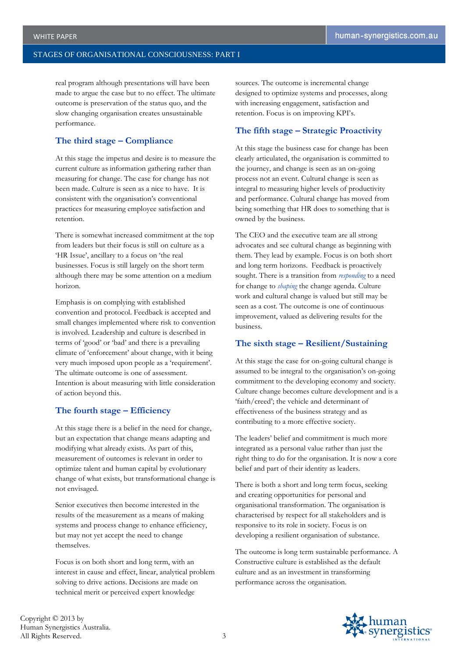real program although presentations will have been made to argue the case but to no effect. The ultimate outcome is preservation of the status quo, and the slow changing organisation creates unsustainable performance.

# **The third stage – Compliance**

At this stage the impetus and desire is to measure the current culture as information gathering rather than measuring for change. The case for change has not been made. Culture is seen as a nice to have. It is consistent with the organisation's conventional practices for measuring employee satisfaction and retention.

There is somewhat increased commitment at the top from leaders but their focus is still on culture as a 'HR Issue', ancillary to a focus on 'the real businesses. Focus is still largely on the short term although there may be some attention on a medium horizon.

Emphasis is on complying with established convention and protocol. Feedback is accepted and small changes implemented where risk to convention is involved. Leadership and culture is described in terms of 'good' or 'bad' and there is a prevailing climate of 'enforcement' about change, with it being very much imposed upon people as a 'requirement'. The ultimate outcome is one of assessment. Intention is about measuring with little consideration of action beyond this.

#### **The fourth stage – Efficiency**

At this stage there is a belief in the need for change, but an expectation that change means adapting and modifying what already exists. As part of this, measurement of outcomes is relevant in order to optimize talent and human capital by evolutionary change of what exists, but transformational change is not envisaged.

Senior executives then become interested in the results of the measurement as a means of making systems and process change to enhance efficiency, but may not yet accept the need to change themselves.

Focus is on both short and long term, with an interest in cause and effect, linear, analytical problem solving to drive actions. Decisions are made on technical merit or perceived expert knowledge

sources. The outcome is incremental change designed to optimize systems and processes, along with increasing engagement, satisfaction and retention. Focus is on improving KPI's.

#### **The fifth stage – Strategic Proactivity**

At this stage the business case for change has been clearly articulated, the organisation is committed to the journey, and change is seen as an on-going process not an event. Cultural change is seen as integral to measuring higher levels of productivity and performance. Cultural change has moved from being something that HR does to something that is owned by the business.

The CEO and the executive team are all strong advocates and see cultural change as beginning with them. They lead by example. Focus is on both short and long term horizons. Feedback is proactively sought. There is a transition from *responding* to a need for change to *shaping* the change agenda. Culture work and cultural change is valued but still may be seen as a cost. The outcome is one of continuous improvement, valued as delivering results for the business.

#### **The sixth stage – Resilient/Sustaining**

At this stage the case for on-going cultural change is assumed to be integral to the organisation's on-going commitment to the developing economy and society. Culture change becomes culture development and is a 'faith/creed'; the vehicle and determinant of effectiveness of the business strategy and as contributing to a more effective society.

The leaders' belief and commitment is much more integrated as a personal value rather than just the right thing to do for the organisation. It is now a core belief and part of their identity as leaders.

There is both a short and long term focus, seeking and creating opportunities for personal and organisational transformation. The organisation is characterised by respect for all stakeholders and is responsive to its role in society. Focus is on developing a resilient organisation of substance.

The outcome is long term sustainable performance. A Constructive culture is established as the default culture and as an investment in transforming performance across the organisation.

Copyright © 2013 by Human Synergistics Australia. All Rights Reserved. 3

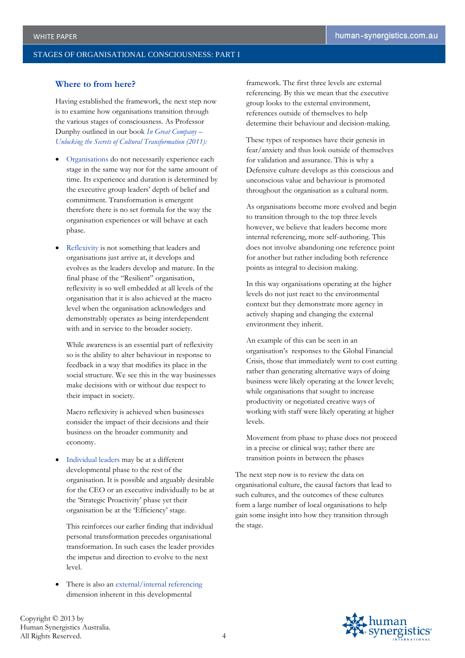## **Where to from here?**

Having established the framework, the next step now is to examine how organisations transition through the various stages of consciousness. As Professor Dunphy outlined in our book *In Great Company – Unlocking the Secrets of Cultural Transformation (2011):*

- Organisations do not necessarily experience each stage in the same way nor for the same amount of time. Its experience and duration is determined by the executive group leaders' depth of belief and commitment. Transformation is emergent therefore there is no set formula for the way the organisation experiences or will behave at each phase.
- Reflexivity is not something that leaders and organisations just arrive at, it develops and evolves as the leaders develop and mature. In the final phase of the "Resilient" organisation, reflexivity is so well embedded at all levels of the organisation that it is also achieved at the macro level when the organisation acknowledges and demonstrably operates as being interdependent with and in service to the broader society.

While awareness is an essential part of reflexivity so is the ability to alter behaviour in response to feedback in a way that modifies its place in the social structure. We see this in the way businesses make decisions with or without due respect to their impact in society.

Macro reflexivity is achieved when businesses consider the impact of their decisions and their business on the broader community and economy.

 Individual leaders may be at a different developmental phase to the rest of the organisation. It is possible and arguably desirable for the CEO or an executive individually to be at the 'Strategic Proactivity' phase yet their organisation be at the 'Efficiency' stage.

This reinforces our earlier finding that individual personal transformation precedes organisational transformation. In such cases the leader provides the impetus and direction to evolve to the next level.

 There is also an external/internal referencing dimension inherent in this developmental

framework. The first three levels are external referencing. By this we mean that the executive group looks to the external environment, references outside of themselves to help determine their behaviour and decision-making.

These types of responses have their genesis in fear/anxiety and thus look outside of themselves for validation and assurance. This is why a Defensive culture develops as this conscious and unconscious value and behaviour is promoted throughout the organisation as a cultural norm.

As organisations become more evolved and begin to transition through to the top three levels however, we believe that leaders become more internal referencing, more self-authoring. This does not involve abandoning one reference point for another but rather including both reference points as integral to decision making.

In this way organisations operating at the higher levels do not just react to the environmental context but they demonstrate more agency in actively shaping and changing the external environment they inherit.

An example of this can be seen in an organisation's responses to the Global Financial Crisis, those that immediately went to cost cutting rather than generating alternative ways of doing business were likely operating at the lower levels; while organisations that sought to increase productivity or negotiated creative ways of working with staff were likely operating at higher levels.

Movement from phase to phase does not proceed in a precise or clinical way; rather there are transition points in between the phases

The next step now is to review the data on organisational culture, the causal factors that lead to such cultures, and the outcomes of these cultures form a large number of local organisations to help gain some insight into how they transition through the stage.



Copyright © 2013 by Human Synergistics Australia. All Rights Reserved. 4